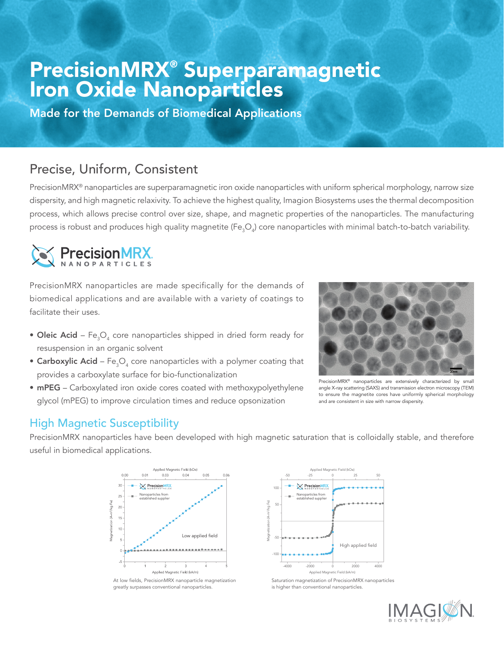# PrecisionMRX® Superparamagnetic Iron Oxide Nanoparticles

Made for the Demands of Biomedical Applications

## Precise, Uniform, Consistent

PrecisionMRX<sup>®</sup> nanoparticles are superparamagnetic iron oxide nanoparticles with uniform spherical morphology, narrow size dispersity, and high magnetic relaxivity. To achieve the highest quality, Imagion Biosystems uses the thermal decomposition process, which allows precise control over size, shape, and magnetic properties of the nanoparticles. The manufacturing process is robust and produces high quality magnetite (Fe $_{\rm 3}$ O $_{\rm 4}$ ) core nanoparticles with minimal batch-to-batch variability.



PrecisionMRX nanoparticles are made specifically for the demands of biomedical applications and are available with a variety of coatings to facilitate their uses.

- $\bullet$  Oleic Acid Fe $_{3} \mathrm{O}_4$  core nanoparticles shipped in dried form ready for resuspension in an organic solvent
- $\bullet$  Carboxylic Acid Fe $_{3} {\rm O}_{_4}$  core nanoparticles with a polymer coating that provides a carboxylate surface for bio-functionalization
- mPEG Carboxylated iron oxide cores coated with methoxypolyethylene



PrecisionMRX® nanoparticles are extensively characterized by small angle X-ray scattering (SAXS) and transmission electron microscopy (TEM) to ensure the magnetite cores have uniformly spherical morphology and are consistent in size with narrow dispersity.

# glycol (mPEG) to improve circulation times and reduce opsonization

#### High Magnetic Susceptibility

PrecisionMRX nanoparticles have been developed with high magnetic saturation that is colloidally stable, and therefore useful in biomedical applications.



At low fields, PrecisionMRX nanoparticle magnetization greatly surpasses conventional nanoparticles.



Saturation magnetization of PrecisionMRX nanoparticles is higher than conventional nanoparticles.